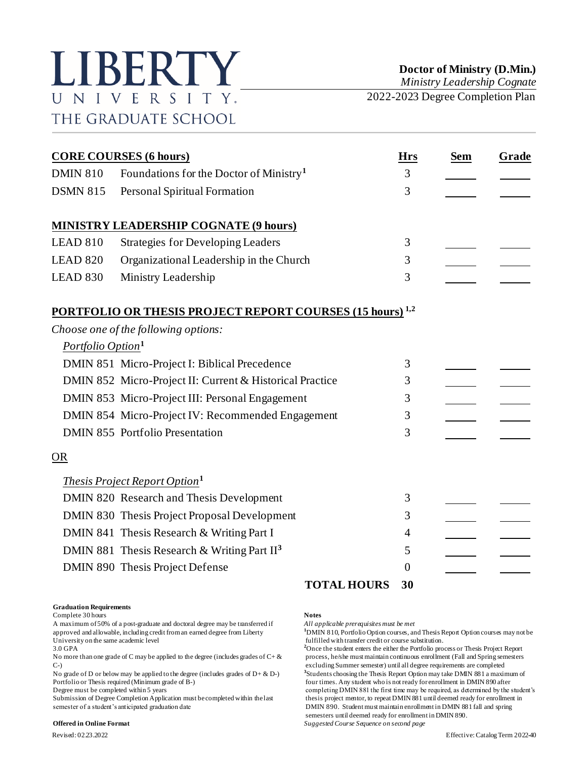# LIBERTY UNIVERSITY. THE GRADUATE SCHOOL

*Ministry Leadership Cognate*

2022-2023 Degree Completion Plan

|                               | <b>CORE COURSES (6 hours)</b>                                               | <b>Hrs</b>     | <b>Sem</b> | Grade |
|-------------------------------|-----------------------------------------------------------------------------|----------------|------------|-------|
| <b>DMIN 810</b>               | Foundations for the Doctor of Ministry <sup>1</sup>                         | 3              |            |       |
| <b>DSMN 815</b>               | Personal Spiritual Formation                                                | 3              |            |       |
|                               | <b>MINISTRY LEADERSHIP COGNATE (9 hours)</b>                                |                |            |       |
| LEAD 810                      | <b>Strategies for Developing Leaders</b>                                    | 3              |            |       |
| <b>LEAD 820</b>               | Organizational Leadership in the Church                                     | 3              |            |       |
| LEAD 830                      | Ministry Leadership                                                         | 3              |            |       |
|                               | <b>PORTFOLIO OR THESIS PROJECT REPORT COURSES (15 hours)</b> <sup>1,2</sup> |                |            |       |
|                               | Choose one of the following options:                                        |                |            |       |
| Portfolio Option <sup>1</sup> |                                                                             |                |            |       |
|                               | DMIN 851 Micro-Project I: Biblical Precedence                               | 3              |            |       |
|                               | DMIN 852 Micro-Project II: Current & Historical Practice                    | 3              |            |       |
|                               | DMIN 853 Micro-Project III: Personal Engagement                             | 3              |            |       |
|                               | DMIN 854 Micro-Project IV: Recommended Engagement                           | 3              |            |       |
|                               | DMIN 855 Portfolio Presentation                                             | 3              |            |       |
| <b>OR</b>                     |                                                                             |                |            |       |
|                               | <i>Thesis Project Report Option</i> <sup>1</sup>                            |                |            |       |
|                               | DMIN 820 Research and Thesis Development                                    | 3              |            |       |
|                               | DMIN 830 Thesis Project Proposal Development                                | 3              |            |       |
|                               | DMIN 841 Thesis Research & Writing Part I                                   | 4              |            |       |
|                               | DMIN 881 Thesis Research & Writing Part $II3$                               | 5              |            |       |
|                               | DMIN 890 Thesis Project Defense                                             | $\overline{0}$ |            |       |
|                               | <b>TOTAL HOURS</b>                                                          | 30             |            |       |

### **Graduation Requirements**

Complete 30 hours **Notes**

A maximum of 50% of a post-graduate and doctoral degree may be transferred if *All applicable prerequisites must be met* approved and allowable, including credit from an earned degree from Liberty **1**DMIN 810, Portfolio Option courses, and Thesis Report Option courses may not be fulfilled with transfer credit or course substitution. University on the same academic level<br>
3.0 GPA<br>
<sup>2</sup>Once the student enters the either the Portfolio pro-

No more than one grade of C may be applied to the degree (includes grades of  $C + \&$  process, he/she must maintain continuous enrollment (Fall and Spring semesters C-) excluding Summer semester) until all degree requirements are completed

No grade of D or below may be applied to the degree (includes grades of  $D + \& D$ -)

semester of a student's anticipated graduation date DMIN 890. Student must maintain enrollment in DMIN 881 fall and spring

### **Offered in Online Format** *Suggested Course Sequence on second page*

<sup>2</sup>Once the student enters the either the Portfolio process or Thesis Project Report **3** Students choosing the Thesis Report Option may take DMIN 881 a maximum of Portfolio or Thesis required (Minimum grade of B-) four times. Any student who is not ready for enrollment in DMIN 890 after<br>Degree must be completed within 5 years for enrollment in DMIN 881 the first time may be required completing DMIN 881 the first time may be required, as determined by the student's Submission of Degree Completion Application must be completed within the last thesis project mentor, to repeat DMIN 881 until deemed ready for enrollment in semesters until deemed ready for enrollment in DMIN 890.

Revised: 02.23.2022 Effective: Catalog Term 2022-40